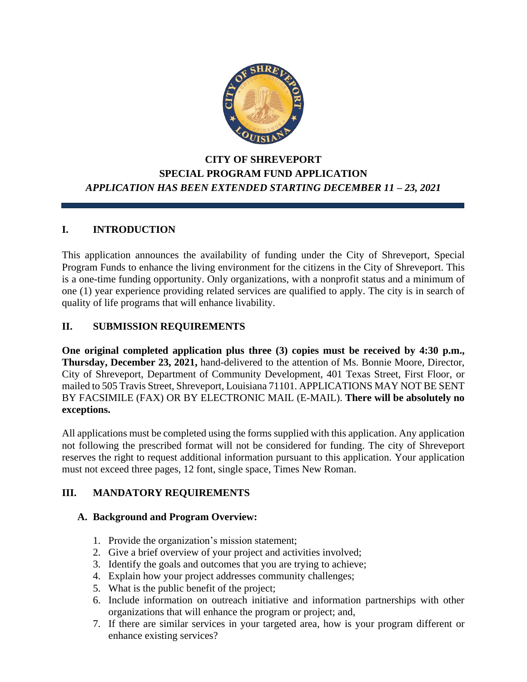

# **CITY OF SHREVEPORT SPECIAL PROGRAM FUND APPLICATION** *APPLICATION HAS BEEN EXTENDED STARTING DECEMBER 11 – 23, 2021*

# **I. INTRODUCTION**

This application announces the availability of funding under the City of Shreveport, Special Program Funds to enhance the living environment for the citizens in the City of Shreveport. This is a one-time funding opportunity. Only organizations, with a nonprofit status and a minimum of one (1) year experience providing related services are qualified to apply. The city is in search of quality of life programs that will enhance livability.

## **II. SUBMISSION REQUIREMENTS**

**One original completed application plus three (3) copies must be received by 4:30 p.m., Thursday, December 23, 2021,** hand-delivered to the attention of Ms. Bonnie Moore, Director, City of Shreveport, Department of Community Development, 401 Texas Street, First Floor, or mailed to 505 Travis Street, Shreveport, Louisiana 71101. APPLICATIONS MAY NOT BE SENT BY FACSIMILE (FAX) OR BY ELECTRONIC MAIL (E-MAIL). **There will be absolutely no exceptions.**

All applications must be completed using the forms supplied with this application. Any application not following the prescribed format will not be considered for funding. The city of Shreveport reserves the right to request additional information pursuant to this application. Your application must not exceed three pages, 12 font, single space, Times New Roman.

## **III. MANDATORY REQUIREMENTS**

## **A. Background and Program Overview:**

- 1. Provide the organization's mission statement;
- 2. Give a brief overview of your project and activities involved;
- 3. Identify the goals and outcomes that you are trying to achieve;
- 4. Explain how your project addresses community challenges;
- 5. What is the public benefit of the project;
- 6. Include information on outreach initiative and information partnerships with other organizations that will enhance the program or project; and,
- 7. If there are similar services in your targeted area, how is your program different or enhance existing services?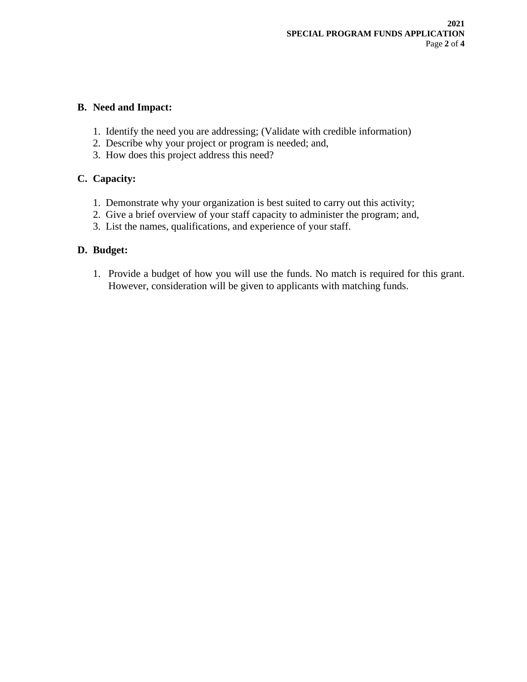## **B. Need and Impact:**

- 1. Identify the need you are addressing; (Validate with credible information)
- 2. Describe why your project or program is needed; and,
- 3. How does this project address this need?

## **C. Capacity:**

- 1. Demonstrate why your organization is best suited to carry out this activity;
- 2. Give a brief overview of your staff capacity to administer the program; and,
- 3. List the names, qualifications, and experience of your staff.

## **D. Budget:**

1. Provide a budget of how you will use the funds. No match is required for this grant. However, consideration will be given to applicants with matching funds.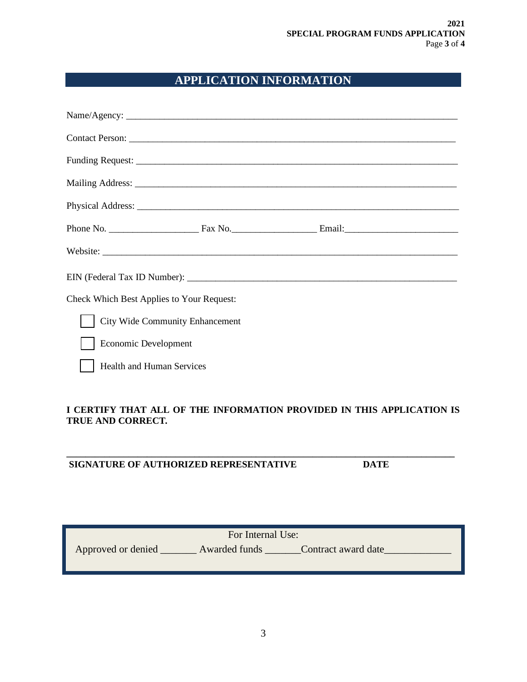# **APPLICATION INFORMATION**

|                                           | Mailing Address: National Address: National Address: National Address: National Address: National Address: National Address: National Address: National Address: National Address: National Address: National Address: Nationa |  |
|-------------------------------------------|--------------------------------------------------------------------------------------------------------------------------------------------------------------------------------------------------------------------------------|--|
|                                           |                                                                                                                                                                                                                                |  |
|                                           |                                                                                                                                                                                                                                |  |
|                                           | Website:                                                                                                                                                                                                                       |  |
|                                           |                                                                                                                                                                                                                                |  |
| Check Which Best Applies to Your Request: |                                                                                                                                                                                                                                |  |
| <b>City Wide Community Enhancement</b>    |                                                                                                                                                                                                                                |  |
| Economic Development                      |                                                                                                                                                                                                                                |  |
| Health and Human Services                 |                                                                                                                                                                                                                                |  |
|                                           |                                                                                                                                                                                                                                |  |

### **I CERTIFY THAT ALL OF THE INFORMATION PROVIDED IN THIS APPLICATION IS TRUE AND CORRECT***.*

**\_\_\_\_\_\_\_\_\_\_\_\_\_\_\_\_\_\_\_\_\_\_\_\_\_\_\_\_\_\_\_\_\_\_\_\_\_\_\_\_\_\_\_\_\_\_\_\_\_\_\_\_\_\_\_\_\_\_\_\_\_\_\_\_\_\_\_\_\_\_\_\_\_\_\_\_\_\_\_\_\_\_**

## **SIGNATURE OF AUTHORIZED REPRESENTATIVE DATE**

| For Internal Use:  |               |                     |  |  |  |  |  |
|--------------------|---------------|---------------------|--|--|--|--|--|
| Approved or denied | Awarded funds | Contract award date |  |  |  |  |  |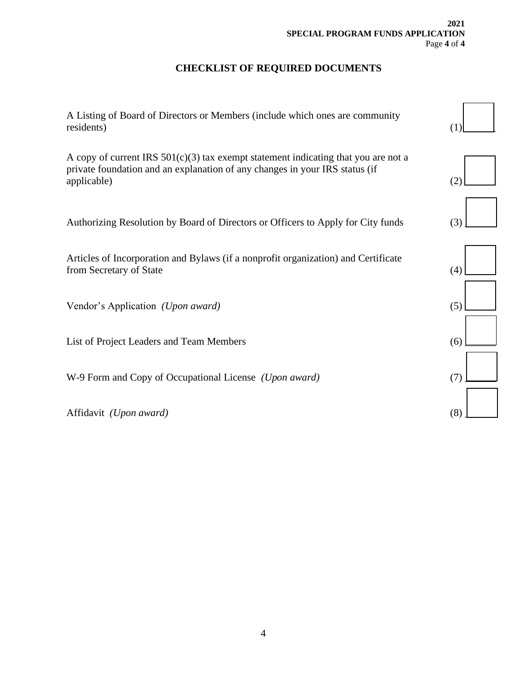# **CHECKLIST OF REQUIRED DOCUMENTS**

| A Listing of Board of Directors or Members (include which ones are community<br>residents)                                                                                         | (1) |
|------------------------------------------------------------------------------------------------------------------------------------------------------------------------------------|-----|
| A copy of current IRS $501(c)(3)$ tax exempt statement indicating that you are not a<br>private foundation and an explanation of any changes in your IRS status (if<br>applicable) | (2) |
| Authorizing Resolution by Board of Directors or Officers to Apply for City funds                                                                                                   | (3) |
| Articles of Incorporation and Bylaws (if a nonprofit organization) and Certificate<br>from Secretary of State                                                                      | (4) |
| Vendor's Application (Upon award)                                                                                                                                                  | (5) |
| List of Project Leaders and Team Members                                                                                                                                           | (6) |
| W-9 Form and Copy of Occupational License (Upon award)                                                                                                                             | (7) |
| Affidavit (Upon award)                                                                                                                                                             | (8) |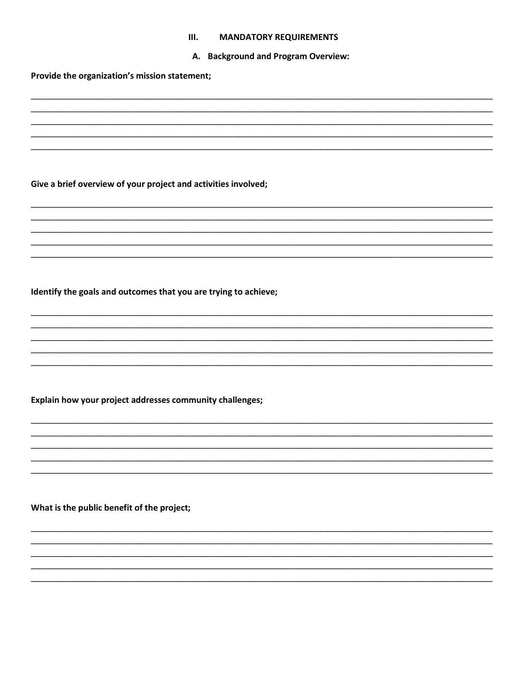#### **MANDATORY REQUIREMENTS**  $III.$

#### A. Background and Program Overview:

Provide the organization's mission statement;

Give a brief overview of your project and activities involved;

Identify the goals and outcomes that you are trying to achieve;

Explain how your project addresses community challenges;

What is the public benefit of the project;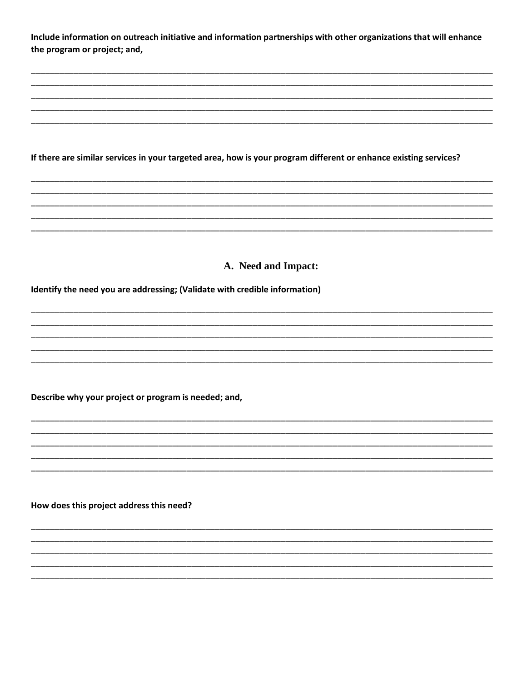Include information on outreach initiative and information partnerships with other organizations that will enhance the program or project; and,

If there are similar services in your targeted area, how is your program different or enhance existing services?

A. Need and Impact:

Identify the need you are addressing; (Validate with credible information)

Describe why your project or program is needed; and,

How does this project address this need?